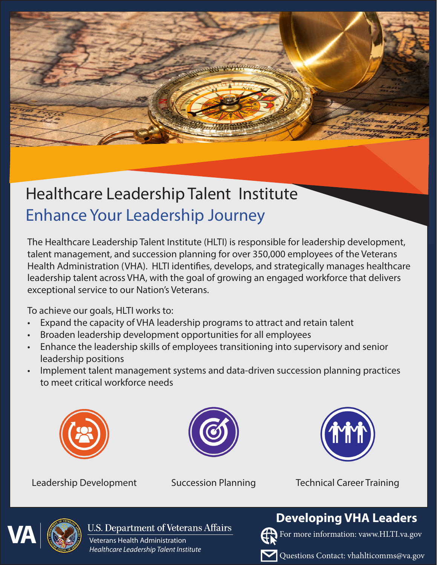# Healthcare Leadership Talent Institute Enhance Your Leadership Journey

The Healthcare Leadership Talent Institute (HLTI) is responsible for leadership development, talent management, and succession planning for over 350,000 employees of the Veterans Health Administration (VHA). HLTI identifies, develops, and strategically manages healthcare leadership talent across VHA, with the goal of growing an engaged workforce that delivers exceptional service to our Nation's Veterans.

To achieve our goals, HLTI works to:

- Expand the capacity of VHA leadership programs to attract and retain talent
- Broaden leadership development opportunities for all employees
- Enhance the leadership skills of employees transitioning into supervisory and senior leadership positions
- Implement talent management systems and data-driven succession planning practices to meet critical workforce needs







Leadership Development Succession Planning Technical Career Training



**U.S. Department of Veterans Affairs** 

Veterans Health Administration *Healthcare Leadership Talent Institute* 

# **Developing VHA Leaders**



For more information: vaww.HLTI.va.gov

Questions Contact: vhahlticomms@va.gov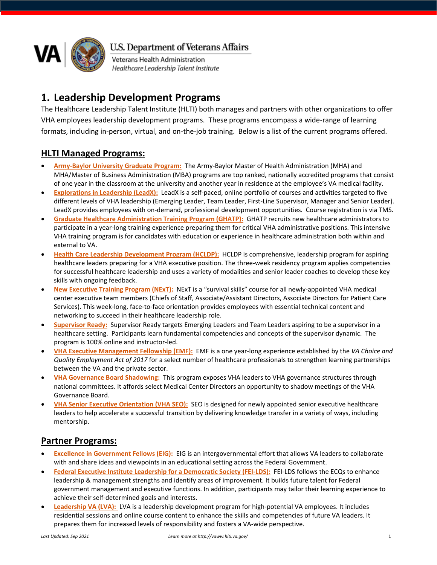

U.S. Department of Veterans Affairs

Veterans Health Administration Healthcare Leadership Talent Institute

# **1. Leadership Development Programs**

The Healthcare Leadership Talent Institute (HLTI) both manages and partners with other organizations to offer VHA employees leadership development programs. These programs encompass a wide-range of learning formats, including in-person, virtual, and on-the-job training. Below is a list of the current programs offered.

#### **HLTI Managed Programs:**

- **Army-Baylor University Graduate Program:** The Army-Baylor Master of Health Administration (MHA) and MHA/Master of Business Administration (MBA) programs are top ranked, nationally accredited programs that consist of one year in the classroom at the university and another year in residence at the employee's VA medical facility.
- **Explorations in Leadership (LeadX):** LeadX is a self-paced, online portfolio of courses and activities targeted to five different levels of VHA leadership (Emerging Leader, Team Leader, First-Line Supervisor, Manager and Senior Leader). LeadX provides employees with on-demand, professional development opportunities. Course registration is via TMS.
- **Graduate Healthcare Administration Training Program (GHATP):**GHATP recruits new healthcare administrators to participate in a year-long training experience preparing them for critical VHA administrative positions. This intensive VHA training program is for candidates with education or experience in healthcare administration both within and external to VA.
- **Health Care Leadership Development Program (HCLDP):**HCLDP is comprehensive, leadership program for aspiring healthcare leaders preparing for a VHA executive position. The three-week residency program applies competencies for successful healthcare leadership and uses a variety of modalities and senior leader coaches to develop these key skills with ongoing feedback.
- **New Executive Training Program (NExT):** NExT is a "survival skills" course for all newly-appointed VHA medical center executive team members (Chiefs of Staff, Associate/Assistant Directors, Associate Directors for Patient Care Services). This week-long, face-to-face orientation provides employees with essential technical content and networking to succeed in their healthcare leadership role.
- **Supervisor Ready:** Supervisor Ready targets Emerging Leaders and Team Leaders aspiring to be a supervisor in a healthcare setting. Participants learn fundamental competencies and concepts of the supervisor dynamic. The program is 100% online and instructor-led.
- **VHA Executive Management Fellowship (EMF):** EMF is a one year-long experience established by the *VA Choice and Quality Employment Act of 2017* for a select number of healthcare professionals to strengthen learning partnerships between the VA and the private sector.
- **VHA Governance Board Shadowing:** This program exposes VHA leaders to VHA governance structures through national committees. It affords select Medical Center Directors an opportunity to shadow meetings of the VHA Governance Board.
- **VHA Senior Executive Orientation (VHA SEO):** SEO is designed for newly appointed senior executive healthcare leaders to help accelerate a successful transition by delivering knowledge transfer in a variety of ways, including mentorship.

### **Partner Programs:**

- **Excellence in Government Fellows (EIG):** EIG is an intergovernmental effort that allows VA leaders to collaborate with and share ideas and viewpoints in an educational setting across the Federal Government.
- Federal Executive Institute Leadership for a Democratic Society (FEI-LDS): FEI-LDS follows the ECQs to enhance leadership & management strengths and identify areas of improvement. It builds future talent for Federal government management and executive functions. In addition, participants may tailor their learning experience to achieve their self-determined goals and interests.
- **[Leadership VA \(LVA\):](http://vaww.succession.va.gov/Employee_Development/LVA/_layouts/15/start.aspx)** LVA is a leadership development program for high-potential VA employees. It includes residential sessions and online course content to enhance the skills and competencies of future VA leaders. It prepares them for increased levels of responsibility and fosters a VA-wide perspective.